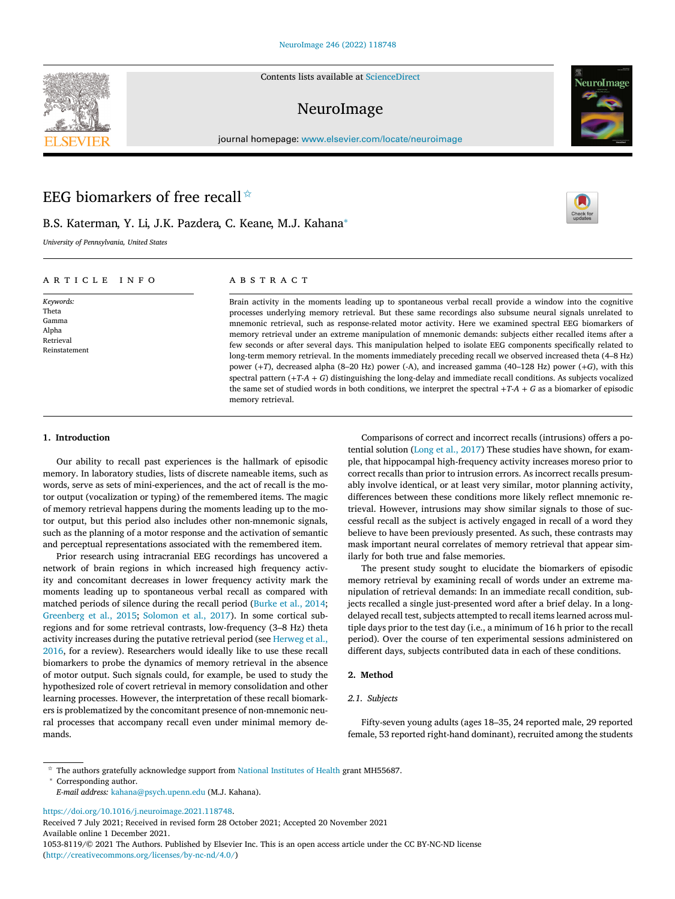Contents lists available at [ScienceDirect](http://www.ScienceDirect.com)

## NeuroImage

journal homepage: [www.elsevier.com/locate/neuroimage](http://www.elsevier.com/locate/neuroimage)

# EEG biomarkers of free recall<sup>☆</sup>

## B.S. Katerman, Y. Li, J.K. Pazdera, C. Keane, M.J. Kahana<sup>∗</sup>

*University of Pennsylvania, United States*

#### a r t i c l e i n f o

*Keywords:* Theta Gamma Alpha Retrieval Reinstatement

### a b s t r a c t

Brain activity in the moments leading up to spontaneous verbal recall provide a window into the cognitive processes underlying memory retrieval. But these same recordings also subsume neural signals unrelated to mnemonic retrieval, such as response-related motor activity. Here we examined spectral EEG biomarkers of memory retrieval under an extreme manipulation of mnemonic demands: subjects either recalled items after a few seconds or after several days. This manipulation helped to isolate EEG components specifically related to long-term memory retrieval. In the moments immediately preceding recall we observed increased theta (4–8 Hz) power (+*T*), decreased alpha (8–20 Hz) power (-A), and increased gamma (40–128 Hz) power (+*G*), with this spectral pattern (+*T*-*A* + *G*) distinguishing the long-delay and immediate recall conditions. As subjects vocalized the same set of studied words in both conditions, we interpret the spectral +*T*-*A* + *G* as a biomarker of episodic memory retrieval.

#### **1. Introduction**

Our ability to recall past experiences is the hallmark of episodic memory. In laboratory studies, lists of discrete nameable items, such as words, serve as sets of mini-experiences, and the act of recall is the motor output (vocalization or typing) of the remembered items. The magic of memory retrieval happens during the moments leading up to the motor output, but this period also includes other non-mnemonic signals, such as the planning of a motor response and the activation of semantic and perceptual representations associated with the remembered item.

Prior research using intracranial EEG recordings has uncovered a network of brain regions in which increased high frequency activity and concomitant decreases in lower frequency activity mark the moments leading up to spontaneous verbal recall as compared with matched periods of silence during the recall period [\(Burke](#page-4-0) et al., 2014; [Greenberg](#page-5-0) et al., 2015; [Solomon](#page-5-0) et al., 2017). In some cortical subregions and for some retrieval contrasts, low-frequency (3–8 Hz) theta activity increases during the putative retrieval period (see Herweg et al., 2016, for a review). [Researchers](#page-5-0) would ideally like to use these recall biomarkers to probe the dynamics of memory retrieval in the absence of motor output. Such signals could, for example, be used to study the hypothesized role of covert retrieval in memory consolidation and other learning processes. However, the interpretation of these recall biomarkers is problematized by the concomitant presence of non-mnemonic neural processes that accompany recall even under minimal memory demands.

Comparisons of correct and incorrect recalls (intrusions) offers a potential solution [\(Long](#page-5-0) et al., 2017) These studies have shown, for example, that hippocampal high-frequency activity increases moreso prior to correct recalls than prior to intrusion errors. As incorrect recalls presumably involve identical, or at least very similar, motor planning activity, differences between these conditions more likely reflect mnemonic retrieval. However, intrusions may show similar signals to those of successful recall as the subject is actively engaged in recall of a word they believe to have been previously presented. As such, these contrasts may mask important neural correlates of memory retrieval that appear similarly for both true and false memories.

The present study sought to elucidate the biomarkers of episodic memory retrieval by examining recall of words under an extreme manipulation of retrieval demands: In an immediate recall condition, subjects recalled a single just-presented word after a brief delay. In a longdelayed recall test, subjects attempted to recall items learned across multiple days prior to the test day (i.e., a minimum of 16 h prior to the recall period). Over the course of ten experimental sessions administered on different days, subjects contributed data in each of these conditions.

#### **2. Method**

#### *2.1. Subjects*

Fifty-seven young adults (ages 18–35, 24 reported male, 29 reported female, 53 reported right-hand dominant), recruited among the students

 $*$  The authors gratefully acknowledge support from National [Institutes](http://dx.doi.org/10.13039/100000002) of Health grant MH55687.

<sup>∗</sup> Corresponding author.

*E-mail address:* [kahana@psych.upenn.edu](mailto:kahana@psych.upenn.edu) (M.J. Kahana).

[https://doi.org/10.1016/j.neuroimage.2021.118748.](https://doi.org/10.1016/j.neuroimage.2021.118748)

Received 7 July 2021; Received in revised form 28 October 2021; Accepted 20 November 2021 Available online 1 December 2021. 1053-8119/© 2021 The Authors. Published by Elsevier Inc. This is an open access article under the CC BY-NC-ND license [\(http://creativecommons.org/licenses/by-nc-nd/4.0/\)](http://creativecommons.org/licenses/by-nc-nd/4.0/)



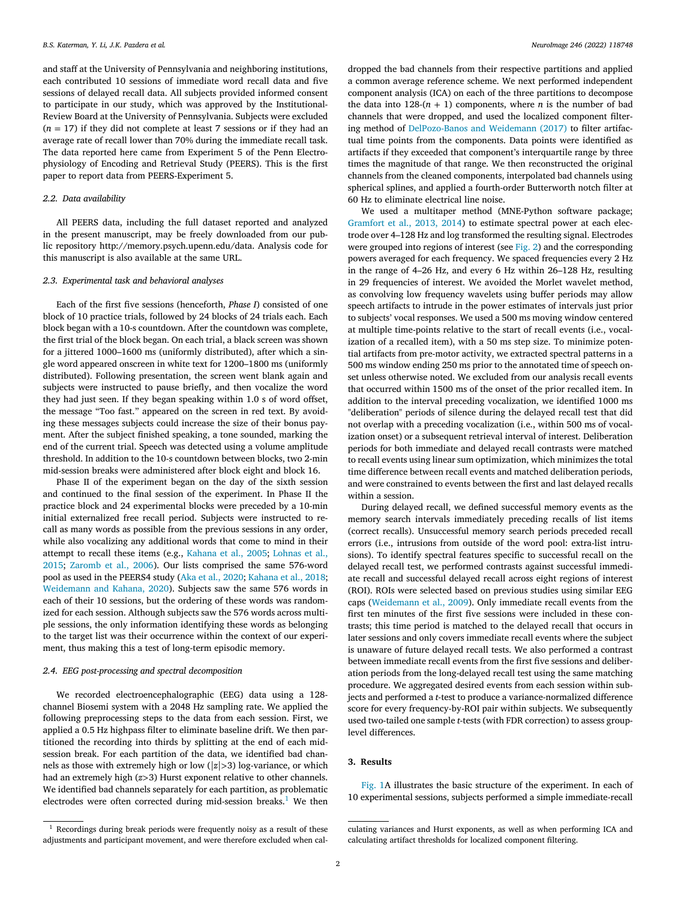and staff at the University of Pennsylvania and neighboring institutions, each contributed 10 sessions of immediate word recall data and five sessions of delayed recall data. All subjects provided informed consent to participate in our study, which was approved by the Institutional-Review Board at the University of Pennsylvania. Subjects were excluded  $(n = 17)$  if they did not complete at least 7 sessions or if they had an average rate of recall lower than 70% during the immediate recall task. The data reported here came from Experiment 5 of the Penn Electrophysiology of Encoding and Retrieval Study (PEERS). This is the first paper to report data from PEERS-Experiment 5.

#### *2.2. Data availability*

All PEERS data, including the full dataset reported and analyzed in the present manuscript, may be freely downloaded from our public repository http://memory.psych.upenn.edu/data. Analysis code for this manuscript is also available at the same URL.

#### *2.3. Experimental task and behavioral analyses*

Each of the first five sessions (henceforth, *Phase I*) consisted of one block of 10 practice trials, followed by 24 blocks of 24 trials each. Each block began with a 10-s countdown. After the countdown was complete, the first trial of the block began. On each trial, a black screen was shown for a jittered 1000–1600 ms (uniformly distributed), after which a single word appeared onscreen in white text for 1200–1800 ms (uniformly distributed). Following presentation, the screen went blank again and subjects were instructed to pause briefly, and then vocalize the word they had just seen. If they began speaking within 1.0 s of word offset, the message "Too fast." appeared on the screen in red text. By avoiding these messages subjects could increase the size of their bonus payment. After the subject finished speaking, a tone sounded, marking the end of the current trial. Speech was detected using a volume amplitude threshold. In addition to the 10-s countdown between blocks, two 2-min mid-session breaks were administered after block eight and block 16.

Phase II of the experiment began on the day of the sixth session and continued to the final session of the experiment. In Phase II the practice block and 24 experimental blocks were preceded by a 10-min initial externalized free recall period. Subjects were instructed to recall as many words as possible from the previous sessions in any order, while also vocalizing any additional words that come to mind in their attempt to recall these items (e.g., [Kahana](#page-5-0) et al., 2005; Lohnas et al., 2015; [Zaromb](#page-5-0) et al., 2006). Our lists [comprised](#page-5-0) the same 576-word pool as used in the PEERS4 study (Aka et al., [2020;](#page-4-0) [Kahana](#page-5-0) et al., 2018; [Weidemann](#page-5-0) and Kahana, 2020). Subjects saw the same 576 words in each of their 10 sessions, but the ordering of these words was randomized for each session. Although subjects saw the 576 words across multiple sessions, the only information identifying these words as belonging to the target list was their occurrence within the context of our experiment, thus making this a test of long-term episodic memory.

#### *2.4. EEG post-processing and spectral decomposition*

We recorded electroencephalographic (EEG) data using a 128 channel Biosemi system with a 2048 Hz sampling rate. We applied the following preprocessing steps to the data from each session. First, we applied a 0.5 Hz highpass filter to eliminate baseline drift. We then partitioned the recording into thirds by splitting at the end of each midsession break. For each partition of the data, we identified bad channels as those with extremely high or low (|*z*|*>*3) log-variance, or which had an extremely high (*z>*3) Hurst exponent relative to other channels. We identified bad channels separately for each partition, as problematic electrodes were often corrected during mid-session breaks.<sup>1</sup> We then dropped the bad channels from their respective partitions and applied a common average reference scheme. We next performed independent component analysis (ICA) on each of the three partitions to decompose the data into  $128-(n + 1)$  components, where *n* is the number of bad channels that were dropped, and used the localized component filtering method of [DelPozo-Banos](#page-4-0) and Weidemann (2017) to filter artifactual time points from the components. Data points were identified as artifacts if they exceeded that component's interquartile range by three times the magnitude of that range. We then reconstructed the original channels from the cleaned components, interpolated bad channels using spherical splines, and applied a fourth-order Butterworth notch filter at 60 Hz to eliminate electrical line noise.

We used a multitaper method (MNE-Python software package; [Gramfort](#page-4-0) et al., 2013, 2014) to estimate spectral power at each electrode over 4–128 Hz and log transformed the resulting signal. Electrodes were grouped into regions of interest (see [Fig.](#page-3-0) 2) and the corresponding powers averaged for each frequency. We spaced frequencies every 2 Hz in the range of 4–26 Hz, and every 6 Hz within 26–128 Hz, resulting in 29 frequencies of interest. We avoided the Morlet wavelet method, as convolving low frequency wavelets using buffer periods may allow speech artifacts to intrude in the power estimates of intervals just prior to subjects' vocal responses. We used a 500 ms moving window centered at multiple time-points relative to the start of recall events (i.e., vocalization of a recalled item), with a 50 ms step size. To minimize potential artifacts from pre-motor activity, we extracted spectral patterns in a 500 ms window ending 250 ms prior to the annotated time of speech onset unless otherwise noted. We excluded from our analysis recall events that occurred within 1500 ms of the onset of the prior recalled item. In addition to the interval preceding vocalization, we identified 1000 ms "deliberation" periods of silence during the delayed recall test that did not overlap with a preceding vocalization (i.e., within 500 ms of vocalization onset) or a subsequent retrieval interval of interest. Deliberation periods for both immediate and delayed recall contrasts were matched to recall events using linear sum optimization, which minimizes the total time difference between recall events and matched deliberation periods, and were constrained to events between the first and last delayed recalls within a session.

During delayed recall, we defined successful memory events as the memory search intervals immediately preceding recalls of list items (correct recalls). Unsuccessful memory search periods preceded recall errors (i.e., intrusions from outside of the word pool: extra-list intrusions). To identify spectral features specific to successful recall on the delayed recall test, we performed contrasts against successful immediate recall and successful delayed recall across eight regions of interest (ROI). ROIs were selected based on previous studies using similar EEG caps [\(Weidemann](#page-5-0) et al., 2009). Only immediate recall events from the first ten minutes of the first five sessions were included in these contrasts; this time period is matched to the delayed recall that occurs in later sessions and only covers immediate recall events where the subject is unaware of future delayed recall tests. We also performed a contrast between immediate recall events from the first five sessions and deliberation periods from the long-delayed recall test using the same matching procedure. We aggregated desired events from each session within subjects and performed a *t*-test to produce a variance-normalized difference score for every frequency-by-ROI pair within subjects. We subsequently used two-tailed one sample *t*-tests (with FDR correction) to assess grouplevel differences.

#### **3. Results**

[Fig.](#page-2-0) 1A illustrates the basic structure of the experiment. In each of 10 experimental sessions, subjects performed a simple immediate-recall

<sup>&</sup>lt;sup>1</sup> Recordings during break periods were frequently noisy as a result of these adjustments and participant movement, and were therefore excluded when cal-

culating variances and Hurst exponents, as well as when performing ICA and calculating artifact thresholds for localized component filtering.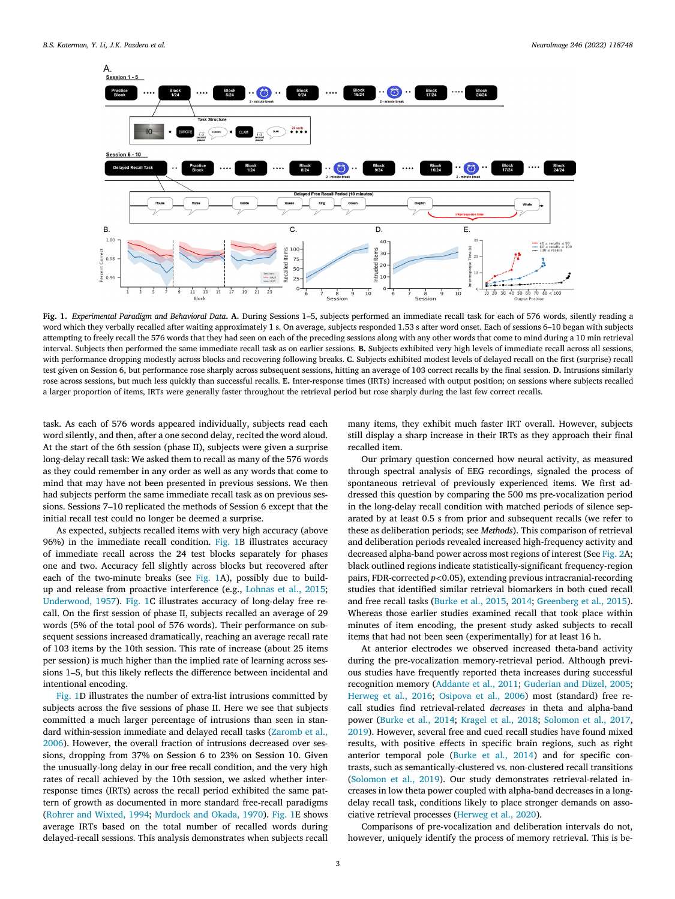<span id="page-2-0"></span>

**Fig. 1.** *Experimental Paradigm and Behavioral Data***. A.** During Sessions 1–5, subjects performed an immediate recall task for each of 576 words, silently reading a word which they verbally recalled after waiting approximately 1 s. On average, subjects responded 1.53 s after word onset. Each of sessions 6–10 began with subjects attempting to freely recall the 576 words that they had seen on each of the preceding sessions along with any other words that come to mind during a 10 min retrieval interval. Subjects then performed the same immediate recall task as on earlier sessions. **B.** Subjects exhibited very high levels of immediate recall across all sessions, with performance dropping modestly across blocks and recovering following breaks. **C.** Subjects exhibited modest levels of delayed recall on the first (surprise) recall test given on Session 6, but performance rose sharply across subsequent sessions, hitting an average of 103 correct recalls by the final session. **D.** Intrusions similarly rose across sessions, but much less quickly than successful recalls. **E.** Inter-response times (IRTs) increased with output position; on sessions where subjects recalled a larger proportion of items, IRTs were generally faster throughout the retrieval period but rose sharply during the last few correct recalls.

task. As each of 576 words appeared individually, subjects read each word silently, and then, after a one second delay, recited the word aloud. At the start of the 6th session (phase II), subjects were given a surprise long-delay recall task: We asked them to recall as many of the 576 words as they could remember in any order as well as any words that come to mind that may have not been presented in previous sessions. We then had subjects perform the same immediate recall task as on previous sessions. Sessions 7–10 replicated the methods of Session 6 except that the initial recall test could no longer be deemed a surprise.

As expected, subjects recalled items with very high accuracy (above 96%) in the immediate recall condition. Fig. 1B illustrates accuracy of immediate recall across the 24 test blocks separately for phases one and two. Accuracy fell slightly across blocks but recovered after each of the two-minute breaks (see Fig. 1A), possibly due to buildup and release from proactive interference (e.g., [Lohnas](#page-5-0) et al., 2015; [Underwood,](#page-5-0) 1957). Fig. 1C illustrates accuracy of long-delay free recall. On the first session of phase II, subjects recalled an average of 29 words (5% of the total pool of 576 words). Their performance on subsequent sessions increased dramatically, reaching an average recall rate of 103 items by the 10th session. This rate of increase (about 25 items per session) is much higher than the implied rate of learning across sessions 1–5, but this likely reflects the difference between incidental and intentional encoding.

Fig. 1D illustrates the number of extra-list intrusions committed by subjects across the five sessions of phase II. Here we see that subjects committed a much larger percentage of intrusions than seen in standard [within-session](#page-5-0) immediate and delayed recall tasks (Zaromb et al., 2006). However, the overall fraction of intrusions decreased over sessions, dropping from 37% on Session 6 to 23% on Session 10. Given the unusually-long delay in our free recall condition, and the very high rates of recall achieved by the 10th session, we asked whether interresponse times (IRTs) across the recall period exhibited the same pattern of growth as documented in more standard free-recall paradigms (Rohrer and [Wixted,](#page-5-0) 1994; [Murdock](#page-5-0) and Okada, 1970). Fig. 1E shows average IRTs based on the total number of recalled words during delayed-recall sessions. This analysis demonstrates when subjects recall many items, they exhibit much faster IRT overall. However, subjects still display a sharp increase in their IRTs as they approach their final recalled item.

Our primary question concerned how neural activity, as measured through spectral analysis of EEG recordings, signaled the process of spontaneous retrieval of previously experienced items. We first addressed this question by comparing the 500 ms pre-vocalization period in the long-delay recall condition with matched periods of silence separated by at least 0.5 s from prior and subsequent recalls (we refer to these as deliberation periods; see *Methods*). This comparison of retrieval and deliberation periods revealed increased high-frequency activity and decreased alpha-band power across most regions of interest (See [Fig.](#page-3-0) 2A; black outlined regions indicate statistically-significant frequency-region pairs, FDR-corrected *p<*0.05), extending previous intracranial-recording studies that identified similar retrieval biomarkers in both cued recall and free recall tasks [\(Burke](#page-4-0) et al., 2015, [2014;](#page-4-0) [Greenberg](#page-5-0) et al., 2015). Whereas those earlier studies examined recall that took place within minutes of item encoding, the present study asked subjects to recall items that had not been seen (experimentally) for at least 16 h.

At anterior electrodes we observed increased theta-band activity during the pre-vocalization memory-retrieval period. Although previous studies have frequently reported theta increases during successful recognition memory [\(Addante](#page-4-0) et al., 2011; [Guderian](#page-5-0) and Düzel, 2005; [Herweg](#page-5-0) et al., 2016; [Osipova](#page-5-0) et al., 2006) most (standard) free recall studies find retrieval-related *decreases* in theta and alpha-band power [\(Burke](#page-4-0) et al., 2014; [Kragel](#page-5-0) et al., 2018; [Solomon](#page-5-0) et al., 2017, [2019\)](#page-5-0). However, several free and cued recall studies have found mixed results, with positive effects in specific brain regions, such as right anterior temporal pole [\(Burke](#page-4-0) et al., 2014) and for specific contrasts, such as semantically-clustered vs. non-clustered recall transitions [\(Solomon](#page-5-0) et al., 2019). Our study demonstrates retrieval-related increases in low theta power coupled with alpha-band decreases in a longdelay recall task, conditions likely to place stronger demands on associative retrieval processes [\(Herweg](#page-5-0) et al., 2020).

Comparisons of pre-vocalization and deliberation intervals do not, however, uniquely identify the process of memory retrieval. This is be-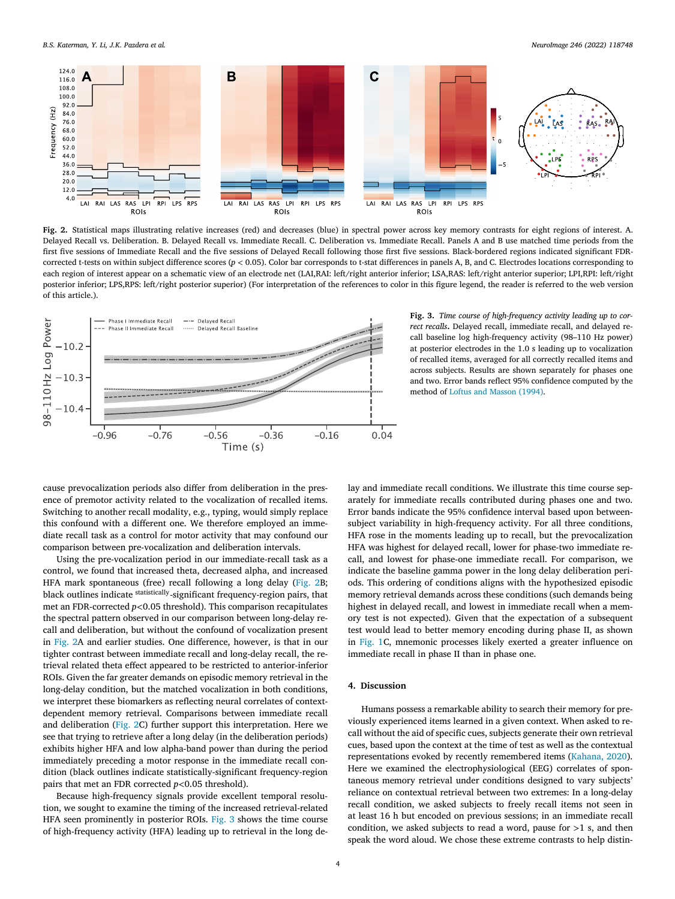<span id="page-3-0"></span>

**Fig. 2.** Statistical maps illustrating relative increases (red) and decreases (blue) in spectral power across key memory contrasts for eight regions of interest. A. Delayed Recall vs. Deliberation. B. Delayed Recall vs. Immediate Recall. C. Deliberation vs. Immediate Recall. Panels A and B use matched time periods from the first five sessions of Immediate Recall and the five sessions of Delayed Recall following those first five sessions. Black-bordered regions indicated significant FDRcorrected t-tests on within subject difference scores  $(p < 0.05)$ . Color bar corresponds to t-stat differences in panels A, B, and C. Electrodes locations corresponding to each region of interest appear on a schematic view of an electrode net (LAI,RAI: left/right anterior inferior; LSA,RAS: left/right anterior superior; LPI,RPI: left/right posterior inferior; LPS,RPS: left/right posterior superior) (For interpretation of the references to color in this figure legend, the reader is referred to the web version of this article.).



**Fig. 3.** *Time course of high-frequency activity leading up to correct recalls***.** Delayed recall, immediate recall, and delayed recall baseline log high-frequency activity (98–110 Hz power) at posterior electrodes in the 1.0 s leading up to vocalization of recalled items, averaged for all correctly recalled items and across subjects. Results are shown separately for phases one and two. Error bands reflect 95% confidence computed by the method of Loftus and [Masson](#page-5-0) (1994).

cause prevocalization periods also differ from deliberation in the presence of premotor activity related to the vocalization of recalled items. Switching to another recall modality, e.g., typing, would simply replace this confound with a different one. We therefore employed an immediate recall task as a control for motor activity that may confound our comparison between pre-vocalization and deliberation intervals.

Using the pre-vocalization period in our immediate-recall task as a control, we found that increased theta, decreased alpha, and increased HFA mark spontaneous (free) recall following a long delay (Fig. 2B; black outlines indicate statistically-significant frequency-region pairs, that met an FDR-corrected *p<*0.05 threshold). This comparison recapitulates the spectral pattern observed in our comparison between long-delay recall and deliberation, but without the confound of vocalization present in Fig. 2A and earlier studies. One difference, however, is that in our tighter contrast between immediate recall and long-delay recall, the retrieval related theta effect appeared to be restricted to anterior-inferior ROIs. Given the far greater demands on episodic memory retrieval in the long-delay condition, but the matched vocalization in both conditions, we interpret these biomarkers as reflecting neural correlates of contextdependent memory retrieval. Comparisons between immediate recall and deliberation (Fig. 2C) further support this interpretation. Here we see that trying to retrieve after a long delay (in the deliberation periods) exhibits higher HFA and low alpha-band power than during the period immediately preceding a motor response in the immediate recall condition (black outlines indicate statistically-significant frequency-region pairs that met an FDR corrected *p<*0.05 threshold).

Because high-frequency signals provide excellent temporal resolution, we sought to examine the timing of the increased retrieval-related HFA seen prominently in posterior ROIs. Fig. 3 shows the time course of high-frequency activity (HFA) leading up to retrieval in the long delay and immediate recall conditions. We illustrate this time course separately for immediate recalls contributed during phases one and two. Error bands indicate the 95% confidence interval based upon betweensubject variability in high-frequency activity. For all three conditions, HFA rose in the moments leading up to recall, but the prevocalization HFA was highest for delayed recall, lower for phase-two immediate recall, and lowest for phase-one immediate recall. For comparison, we indicate the baseline gamma power in the long delay deliberation periods. This ordering of conditions aligns with the hypothesized episodic memory retrieval demands across these conditions (such demands being highest in delayed recall, and lowest in immediate recall when a memory test is not expected). Given that the expectation of a subsequent test would lead to better memory encoding during phase II, as shown in [Fig.](#page-2-0) 1C, mnemonic processes likely exerted a greater influence on immediate recall in phase II than in phase one.

#### **4. Discussion**

Humans possess a remarkable ability to search their memory for previously experienced items learned in a given context. When asked to recall without the aid of specific cues, subjects generate their own retrieval cues, based upon the context at the time of test as well as the contextual representations evoked by recently remembered items [\(Kahana,](#page-5-0) 2020). Here we examined the electrophysiological (EEG) correlates of spontaneous memory retrieval under conditions designed to vary subjects' reliance on contextual retrieval between two extremes: In a long-delay recall condition, we asked subjects to freely recall items not seen in at least 16 h but encoded on previous sessions; in an immediate recall condition, we asked subjects to read a word, pause for *>*1 s, and then speak the word aloud. We chose these extreme contrasts to help distin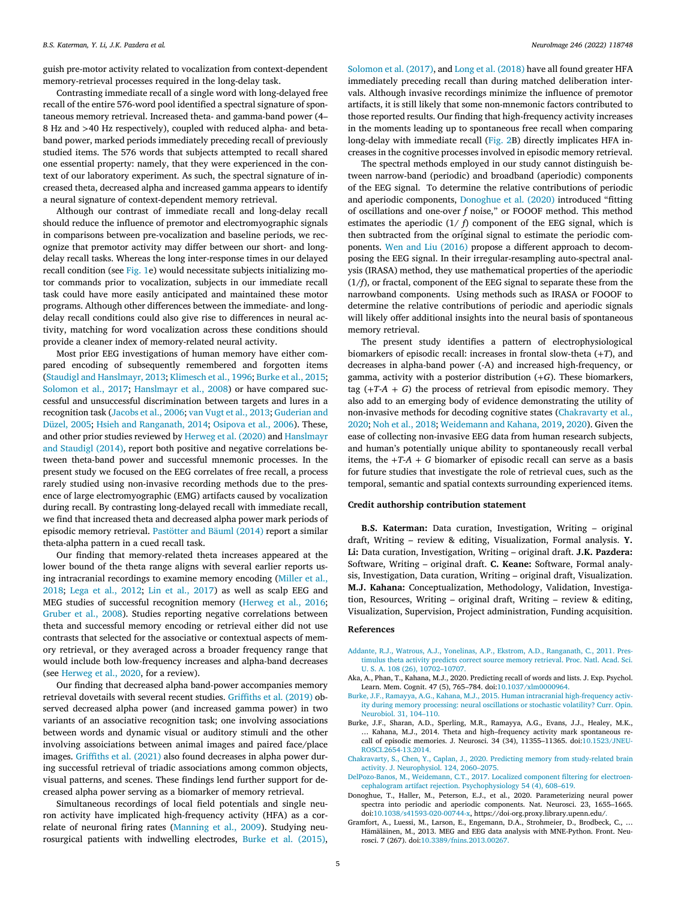<span id="page-4-0"></span>guish pre-motor activity related to vocalization from context-dependent memory-retrieval processes required in the long-delay task.

Contrasting immediate recall of a single word with long-delayed free recall of the entire 576-word pool identified a spectral signature of spontaneous memory retrieval. Increased theta- and gamma-band power (4– 8 Hz and *>*40 Hz respectively), coupled with reduced alpha- and betaband power, marked periods immediately preceding recall of previously studied items. The 576 words that subjects attempted to recall shared one essential property: namely, that they were experienced in the context of our laboratory experiment. As such, the spectral signature of increased theta, decreased alpha and increased gamma appears to identify a neural signature of context-dependent memory retrieval.

Although our contrast of immediate recall and long-delay recall should reduce the influence of premotor and electromyographic signals in comparisons between pre-vocalization and baseline periods, we recognize that premotor activity may differ between our short- and longdelay recall tasks. Whereas the long inter-response times in our delayed recall condition (see [Fig.](#page-2-0) 1e) would necessitate subjects initializing motor commands prior to vocalization, subjects in our immediate recall task could have more easily anticipated and maintained these motor programs. Although other differences between the immediate- and longdelay recall conditions could also give rise to differences in neural activity, matching for word vocalization across these conditions should provide a cleaner index of memory-related neural activity.

Most prior EEG investigations of human memory have either compared encoding of subsequently remembered and forgotten items (Staudigl and [Hanslmayr,](#page-5-0) 2013; [Klimesch](#page-5-0) et al., 1996; Burke et al., 2015; [Solomon](#page-5-0) et al., 2017; [Hanslmayr](#page-5-0) et al., 2008) or have compared successful and unsuccessful discrimination between targets and lures in a [recognition](#page-5-0) task [\(Jacobs](#page-5-0) et al., 2006; van Vugt et al., [2013;](#page-5-0) Guderian and Düzel, 2005; Hsieh and [Ranganath,](#page-5-0) 2014; [Osipova](#page-5-0) et al., 2006). These, and other prior studies reviewed by [Herweg](#page-5-0) et al. (2020) and Hanslmayr and Staudigl (2014), report both positive and negative [correlations](#page-5-0) between theta-band power and successful mnemonic processes. In the present study we focused on the EEG correlates of free recall, a process rarely studied using non-invasive recording methods due to the presence of large electromyographic (EMG) artifacts caused by vocalization during recall. By contrasting long-delayed recall with immediate recall, we find that increased theta and decreased alpha power mark periods of episodic memory retrieval. [Pastötter](#page-5-0) and Bäuml (2014) report a similar theta-alpha pattern in a cued recall task.

Our finding that memory-related theta increases appeared at the lower bound of the theta range aligns with several earlier reports using [intracranial](#page-5-0) recordings to examine memory encoding (Miller et al., 2018; Lega et al., [2012;](#page-5-0) Lin et al., [2017\)](#page-5-0) as well as scalp EEG and MEG studies of successful recognition memory [\(Herweg](#page-5-0) et al., 2016; [Gruber](#page-5-0) et al., 2008). Studies reporting negative correlations between theta and successful memory encoding or retrieval either did not use contrasts that selected for the associative or contextual aspects of memory retrieval, or they averaged across a broader frequency range that would include both low-frequency increases and alpha-band decreases (see [Herweg](#page-5-0) et al., 2020, for a review).

Our finding that decreased alpha band-power accompanies memory retrieval dovetails with several recent studies. [Griffiths](#page-5-0) et al. (2019) observed decreased alpha power (and increased gamma power) in two variants of an associative recognition task; one involving associations between words and dynamic visual or auditory stimuli and the other involving assoiciations between animal images and paired face/place images. [Griffiths](#page-5-0) et al. (2021) also found decreases in alpha power during successful retrieval of triadic associations among common objects, visual patterns, and scenes. These findings lend further support for decreased alpha power serving as a biomarker of memory retrieval.

Simultaneous recordings of local field potentials and single neuron activity have implicated high-frequency activity (HFA) as a correlate of neuronal firing rates [\(Manning](#page-5-0) et al., 2009). Studying neurosurgical patients with indwelling electrodes, Burke et al. (2015), [Solomon](#page-5-0) et al. (2017), and Long et al. [\(2018\)](#page-5-0) have all found greater HFA immediately preceding recall than during matched deliberation intervals. Although invasive recordings minimize the influence of premotor artifacts, it is still likely that some non-mnemonic factors contributed to those reported results. Our finding that high-frequency activity increases in the moments leading up to spontaneous free recall when comparing long-delay with immediate recall [\(Fig.](#page-3-0) 2B) directly implicates HFA increases in the cognitive processes involved in episodic memory retrieval.

The spectral methods employed in our study cannot distinguish between narrow-band (periodic) and broadband (aperiodic) components of the EEG signal. To determine the relative contributions of periodic and aperiodic components, Donoghue et al. (2020) introduced "fitting of oscillations and one-over *f* noise," or FOOOF method. This method estimates the aperiodic  $(1/f)$  component of the EEG signal, which is then subtracted from the original signal to estimate the periodic components. Wen and Liu [\(2016\)](#page-5-0) propose a different approach to decomposing the EEG signal. In their irregular-resampling auto-spectral analysis (IRASA) method, they use mathematical properties of the aperiodic (1/*f*), or fractal, component of the EEG signal to separate these from the narrowband components. Using methods such as IRASA or FOOOF to determine the relative contributions of periodic and aperiodic signals will likely offer additional insights into the neural basis of spontaneous memory retrieval.

The present study identifies a pattern of electrophysiological biomarkers of episodic recall: increases in frontal slow-theta (+*T*), and decreases in alpha-band power (-A) and increased high-frequency, or gamma, activity with a posterior distribution (+*G*). These biomarkers, tag  $(+T-A + G)$  the process of retrieval from episodic memory. They also add to an emerging body of evidence demonstrating the utility of non-invasive methods for decoding cognitive states (Chakravarty et al., 2020; Noh et al., [2018;](#page-5-0) [Weidemann](#page-5-0) and Kahana, 2019, [2020\)](#page-5-0). Given the ease of collecting non-invasive EEG data from human research subjects, and human's potentially unique ability to spontaneously recall verbal items, the  $+T-A + G$  biomarker of episodic recall can serve as a basis for future studies that investigate the role of retrieval cues, such as the temporal, semantic and spatial contexts surrounding experienced items.

#### **Credit authorship contribution statement**

**B.S. Katerman:** Data curation, Investigation, Writing – original draft, Writing – review & editing, Visualization, Formal analysis. **Y. Li:** Data curation, Investigation, Writing – original draft. **J.K. Pazdera:** Software, Writing – original draft. **C. Keane:** Software, Formal analysis, Investigation, Data curation, Writing – original draft, Visualization. **M.J. Kahana:** Conceptualization, Methodology, Validation, Investigation, Resources, Writing – original draft, Writing – review & editing, Visualization, Supervision, Project administration, Funding acquisition.

#### **References**

- [Addante,](http://refhub.elsevier.com/S1053-8119(21)01020-X/sbref0001) R.J., [Watrous,](http://refhub.elsevier.com/S1053-8119(21)01020-X/sbref0001) A.J., [Yonelinas,](http://refhub.elsevier.com/S1053-8119(21)01020-X/sbref0001) A.P., [Ekstrom,](http://refhub.elsevier.com/S1053-8119(21)01020-X/sbref0001) A.D., [Ranganath,](http://refhub.elsevier.com/S1053-8119(21)01020-X/sbref0001) C., 2011. Prestimulus theta activity predicts correct source memory retrieval. Proc. Natl. Acad. Sci. U. S. A. 108 (26), [10702–10707.](http://refhub.elsevier.com/S1053-8119(21)01020-X/sbref0001)
- Aka, A., Phan, T., Kahana, M.J., 2020. Predicting recall of words and lists. J. Exp. Psychol. Learn. Mem. Cognit. 47 (5), 765–784. doi[:10.1037/xlm0000964.](https://doi.org/10.1037/xlm0000964)
- [Burke,](http://refhub.elsevier.com/S1053-8119(21)01020-X/sbref0004) J.F., [Ramayya,](http://refhub.elsevier.com/S1053-8119(21)01020-X/sbref0004) A.G., [Kahana,](http://refhub.elsevier.com/S1053-8119(21)01020-X/sbref0004) M.J., 2015. Human intracranial [high-frequency](http://refhub.elsevier.com/S1053-8119(21)01020-X/sbref0004) activity during memory processing: neural oscillations or stochastic volatility? Curr. Opin. Neurobiol. 31, 104–110.
- Burke, J.F., Sharan, A.D., Sperling, M.R., Ramayya, A.G., Evans, J.J., Healey, M.K., … Kahana, M.J., 2014. Theta and high–frequency activity mark spontaneous recall of episodic memories. J. Neurosci. 34 (34), 11355–11365. doi:10.1523/JNEU-[ROSCI.2654-13.2014.](https://doi.org/10.1523/JNEUROSCI.2654-13.2014)
- [Chakravarty,](http://refhub.elsevier.com/S1053-8119(21)01020-X/sbref0006) S., [Chen,](http://refhub.elsevier.com/S1053-8119(21)01020-X/sbref0006) Y., [Caplan,](http://refhub.elsevier.com/S1053-8119(21)01020-X/sbref0006) J., 2020. Predicting memory from study-related brain activity. J. [Neurophysiol.](http://refhub.elsevier.com/S1053-8119(21)01020-X/sbref0006) 124, 2060–2075.
- [DelPozo-Banos,](http://refhub.elsevier.com/S1053-8119(21)01020-X/sbref0007) M., [Weidemann,](http://refhub.elsevier.com/S1053-8119(21)01020-X/sbref0007) C.T., 2017. Localized component filtering for electroencephalogram artifact rejection. [Psychophysiology](http://refhub.elsevier.com/S1053-8119(21)01020-X/sbref0007) 54 (4), 608–619.
- Donoghue, T., Haller, M., Peterson, E.J., et al., 2020. Parameterizing neural power spectra into periodic and aperiodic components. Nat. Neurosci. 23, 1655–1665. doi[:10.1038/s41593-020-00744-x,](https://doi.org/10.1038/s41593-020-00744-x) https://doi-org.proxy.library.upenn.edu/.
- Gramfort, A., Luessi, M., Larson, E., Engemann, D.A., Strohmeier, D., Brodbeck, C., … Hämäläinen, M., 2013. MEG and EEG data analysis with MNE-Python. Front. Neurosci. 7 (267). doi[:10.3389/fnins.2013.00267.](https://doi.org/10.3389/fnins.2013.00267)